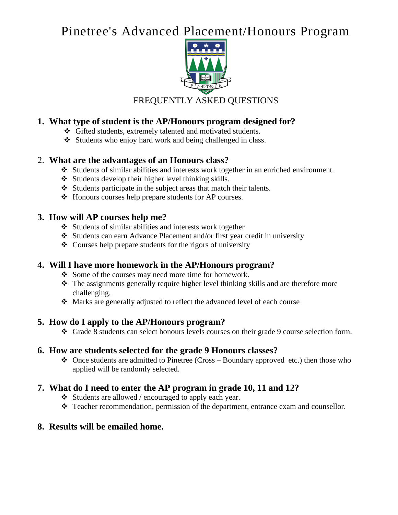# Pinetree's Advanced Placement/Honours Program



FREQUENTLY ASKED QUESTIONS

# **1. What type of student is the AP/Honours program designed for?**

- ❖ Gifted students, extremely talented and motivated students.
- ❖ Students who enjoy hard work and being challenged in class.

#### 2. **What are the advantages of an Honours class?**

- ❖ Students of similar abilities and interests work together in an enriched environment.
- ❖ Students develop their higher level thinking skills.
- ❖ Students participate in the subject areas that match their talents.
- ❖ Honours courses help prepare students for AP courses.

#### **3. How will AP courses help me?**

- ❖ Students of similar abilities and interests work together
- ❖ Students can earn Advance Placement and/or first year credit in university
- ❖ Courses help prepare students for the rigors of university

#### **4. Will I have more homework in the AP/Honours program?**

- ❖ Some of the courses may need more time for homework.
- ❖ The assignments generally require higher level thinking skills and are therefore more challenging.
- ❖ Marks are generally adjusted to reflect the advanced level of each course

#### **5. How do I apply to the AP/Honours program?**

❖ Grade 8 students can select honours levels courses on their grade 9 course selection form.

#### **6. How are students selected for the grade 9 Honours classes?**

 $\triangleleft$  Once students are admitted to Pinetree (Cross – Boundary approved etc.) then those who applied will be randomly selected.

# **7. What do I need to enter the AP program in grade 10, 11 and 12?**

- ❖ Students are allowed / encouraged to apply each year.
- ❖ Teacher recommendation, permission of the department, entrance exam and counsellor.

# **8. Results will be emailed home.**